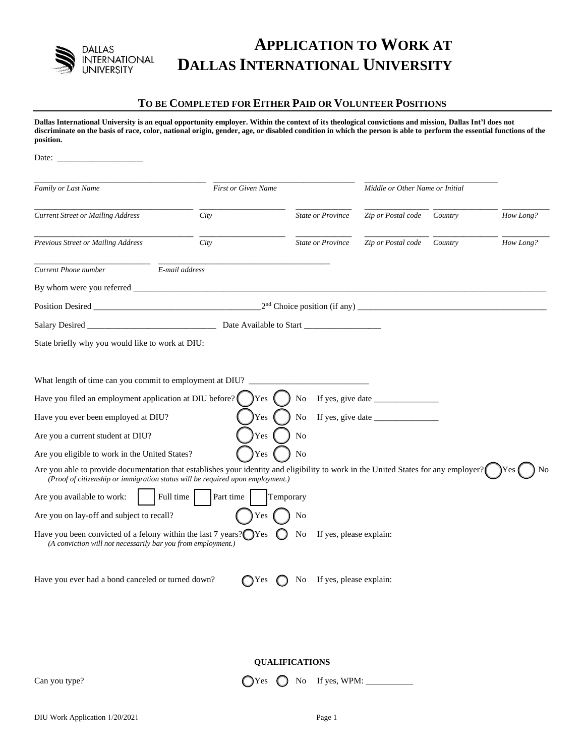

## **APPLICATION TO WORK AT DALLAS INTERNATIONAL UNIVERSITY**

## **TO BE COMPLETED FOR EITHER PAID OR VOLUNTEER POSITIONS**

**Dallas International University is an equal opportunity employer. Within the context of its theological convictions and mission, Dallas Int'l does not discriminate on the basis of race, color, national origin, gender, age, or disabled condition in which the person is able to perform the essential functions of the position.**

| Family or Last Name                                                                                                                                                                                                                                                                                                                                                                                                                                                                                                                                                                                                                                                                                   |                          | First or Given Name                    |                                                      | Middle or Other Name or Initial                                                         |         |           |
|-------------------------------------------------------------------------------------------------------------------------------------------------------------------------------------------------------------------------------------------------------------------------------------------------------------------------------------------------------------------------------------------------------------------------------------------------------------------------------------------------------------------------------------------------------------------------------------------------------------------------------------------------------------------------------------------------------|--------------------------|----------------------------------------|------------------------------------------------------|-----------------------------------------------------------------------------------------|---------|-----------|
| <b>Current Street or Mailing Address</b>                                                                                                                                                                                                                                                                                                                                                                                                                                                                                                                                                                                                                                                              | City                     |                                        | <b>State or Province</b>                             | Zip or Postal code                                                                      | Country | How Long? |
| Previous Street or Mailing Address                                                                                                                                                                                                                                                                                                                                                                                                                                                                                                                                                                                                                                                                    | City                     |                                        | <b>State or Province</b>                             | Zip or Postal code                                                                      | Country | How Long? |
| Current Phone number                                                                                                                                                                                                                                                                                                                                                                                                                                                                                                                                                                                                                                                                                  | E-mail address           |                                        |                                                      |                                                                                         |         |           |
|                                                                                                                                                                                                                                                                                                                                                                                                                                                                                                                                                                                                                                                                                                       |                          |                                        |                                                      |                                                                                         |         |           |
| Position Desired                                                                                                                                                                                                                                                                                                                                                                                                                                                                                                                                                                                                                                                                                      |                          |                                        |                                                      |                                                                                         |         |           |
|                                                                                                                                                                                                                                                                                                                                                                                                                                                                                                                                                                                                                                                                                                       |                          |                                        |                                                      |                                                                                         |         |           |
| State briefly why you would like to work at DIU:                                                                                                                                                                                                                                                                                                                                                                                                                                                                                                                                                                                                                                                      |                          |                                        |                                                      |                                                                                         |         |           |
| What length of time can you commit to employment at DIU?<br>Have you filed an employment application at DIU before?<br>Have you ever been employed at DIU?<br>Are you a current student at DIU?<br>Are you eligible to work in the United States?<br>Are you able to provide documentation that establishes your identity and eligibility to work in the United States for any employer?<br>(Proof of citizenship or immigration status will be required upon employment.)<br>Are you available to work:<br>Are you on lay-off and subject to recall?<br>Have you been convicted of a felony within the last $7$ years? $\bigcap$ Yes<br>(A conviction will not necessarily bar you from employment.) | Full time  <br>Part time | <b>Yes</b><br>Yes<br>Yes<br>Yes<br>Yes | No<br>No<br>No<br><b>No</b><br>Temporary<br>No<br>No | If yes, give date $\_\_\_\_\_\_\_\_\_\_\_\_\_\_\_\_\_\_\_\_$<br>If yes, please explain: |         |           |
| Have you ever had a bond canceled or turned down?                                                                                                                                                                                                                                                                                                                                                                                                                                                                                                                                                                                                                                                     |                          |                                        | $\bigcap$ Yes $\bigcap$ No If yes, please explain:   |                                                                                         |         |           |
|                                                                                                                                                                                                                                                                                                                                                                                                                                                                                                                                                                                                                                                                                                       |                          |                                        | <b>QUALIFICATIONS</b>                                |                                                                                         |         |           |
| Can you type?                                                                                                                                                                                                                                                                                                                                                                                                                                                                                                                                                                                                                                                                                         |                          | $\bigcirc$ Yes                         | No If yes, WPM: ______                               |                                                                                         |         |           |
|                                                                                                                                                                                                                                                                                                                                                                                                                                                                                                                                                                                                                                                                                                       |                          |                                        |                                                      |                                                                                         |         |           |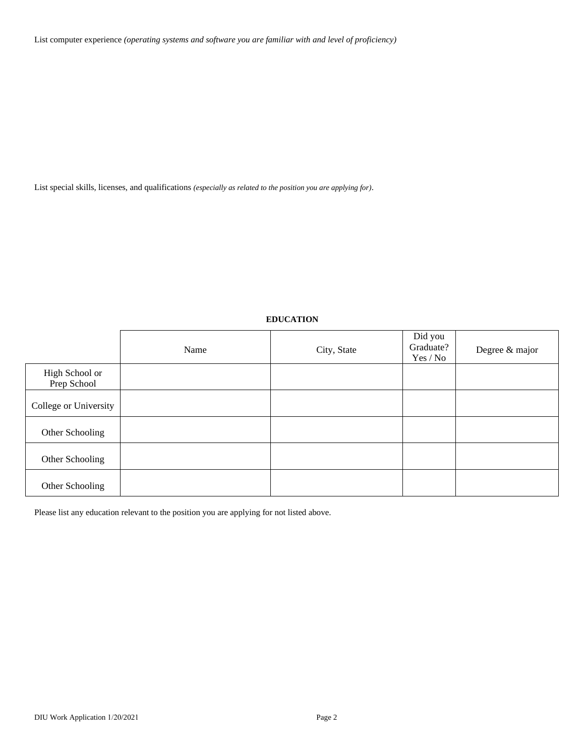List computer experience *(operating systems and software you are familiar with and level of proficiency)* 

List special skills, licenses, and qualifications *(especially as related to the position you are applying for)*.

## **EDUCATION**

|                               | Name | City, State | Did you<br>Graduate?<br>Yes / No | Degree & major |
|-------------------------------|------|-------------|----------------------------------|----------------|
| High School or<br>Prep School |      |             |                                  |                |
| College or University         |      |             |                                  |                |
| Other Schooling               |      |             |                                  |                |
| Other Schooling               |      |             |                                  |                |
| Other Schooling               |      |             |                                  |                |

Please list any education relevant to the position you are applying for not listed above.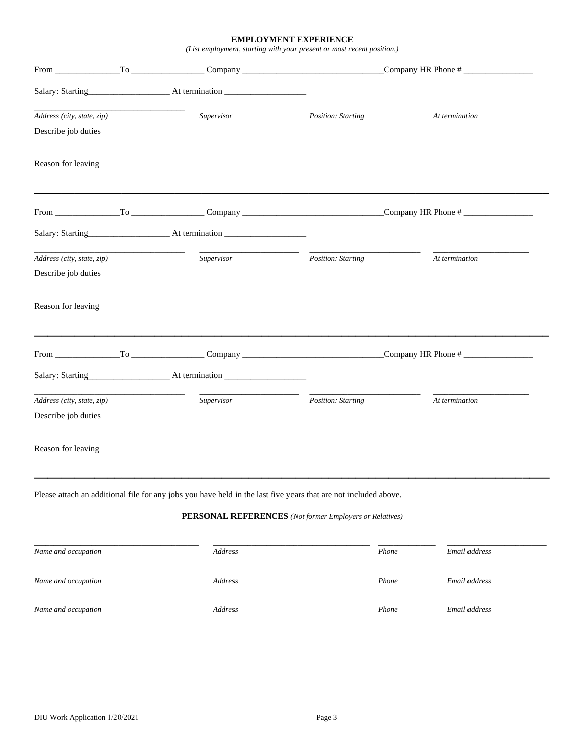## **EMPLOYMENT EXPERIENCE**

*(List employment, starting with your present or most recent position.)*

|                                                   |                                                                                                                 | Company HR Phone #                                      |                    |  |
|---------------------------------------------------|-----------------------------------------------------------------------------------------------------------------|---------------------------------------------------------|--------------------|--|
|                                                   |                                                                                                                 |                                                         |                    |  |
| Address (city, state, zip)<br>Describe job duties | Supervisor                                                                                                      | Position: Starting                                      | At termination     |  |
| Reason for leaving                                |                                                                                                                 |                                                         |                    |  |
|                                                   |                                                                                                                 |                                                         | Company HR Phone # |  |
|                                                   |                                                                                                                 |                                                         |                    |  |
| Address (city, state, zip)<br>Describe job duties | Supervisor                                                                                                      | Position: Starting                                      | At termination     |  |
| Reason for leaving                                |                                                                                                                 |                                                         |                    |  |
|                                                   |                                                                                                                 | Company HR Phone #                                      |                    |  |
|                                                   |                                                                                                                 |                                                         |                    |  |
| Address (city, state, zip)<br>Describe job duties | Supervisor                                                                                                      | Position: Starting                                      | At termination     |  |
| Reason for leaving                                |                                                                                                                 |                                                         |                    |  |
|                                                   | Please attach an additional file for any jobs you have held in the last five years that are not included above. |                                                         |                    |  |
|                                                   |                                                                                                                 | PERSONAL REFERENCES (Not former Employers or Relatives) |                    |  |
| Name and occupation                               | Address                                                                                                         | Phone                                                   | Email address      |  |
| Name and occupation                               | Address                                                                                                         | Phone                                                   | Email address      |  |
| Name and occupation                               | Address                                                                                                         | Phone                                                   | Email address      |  |